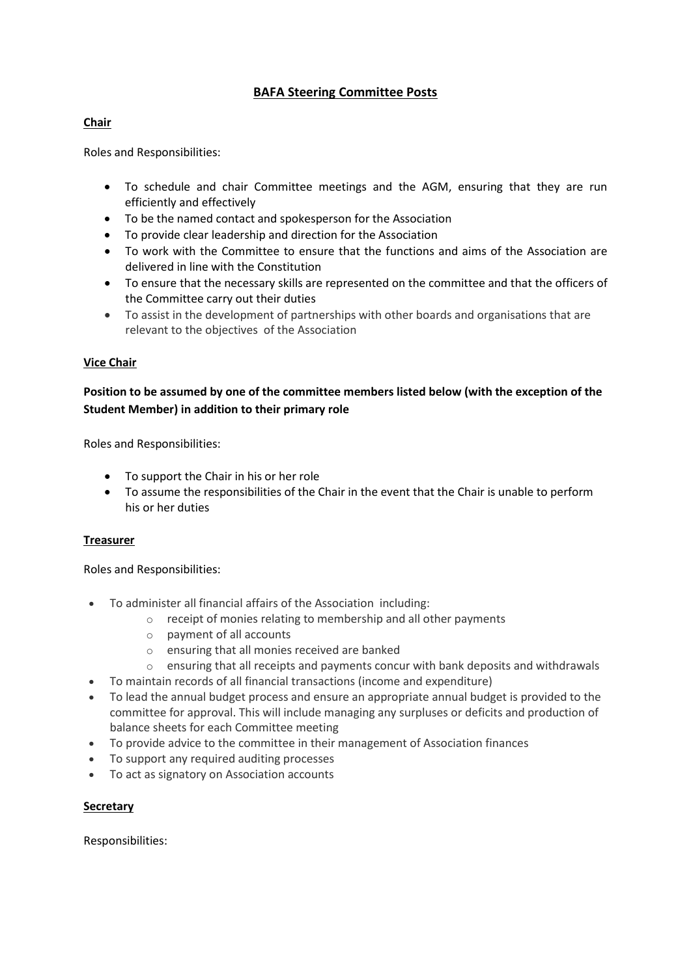# **BAFA Steering Committee Posts**

## **Chair**

Roles and Responsibilities:

- To schedule and chair Committee meetings and the AGM, ensuring that they are run efficiently and effectively
- To be the named contact and spokesperson for the Association
- To provide clear leadership and direction for the Association
- To work with the Committee to ensure that the functions and aims of the Association are delivered in line with the Constitution
- To ensure that the necessary skills are represented on the committee and that the officers of the Committee carry out their duties
- To assist in the development of partnerships with other boards and organisations that are relevant to the objectives of the Association

## **Vice Chair**

## **Position to be assumed by one of the committee members listed below (with the exception of the Student Member) in addition to their primary role**

Roles and Responsibilities:

- To support the Chair in his or her role
- To assume the responsibilities of the Chair in the event that the Chair is unable to perform his or her duties

#### **Treasurer**

Roles and Responsibilities:

- To administer all financial affairs of the Association including:
	- o receipt of monies relating to membership and all other payments
	- o payment of all accounts
	- o ensuring that all monies received are banked
	- $\circ$  ensuring that all receipts and payments concur with bank deposits and withdrawals
- To maintain records of all financial transactions (income and expenditure)
- To lead the annual budget process and ensure an appropriate annual budget is provided to the committee for approval. This will include managing any surpluses or deficits and production of balance sheets for each Committee meeting
- To provide advice to the committee in their management of Association finances
- To support any required auditing processes
- To act as signatory on Association accounts

#### **Secretary**

Responsibilities: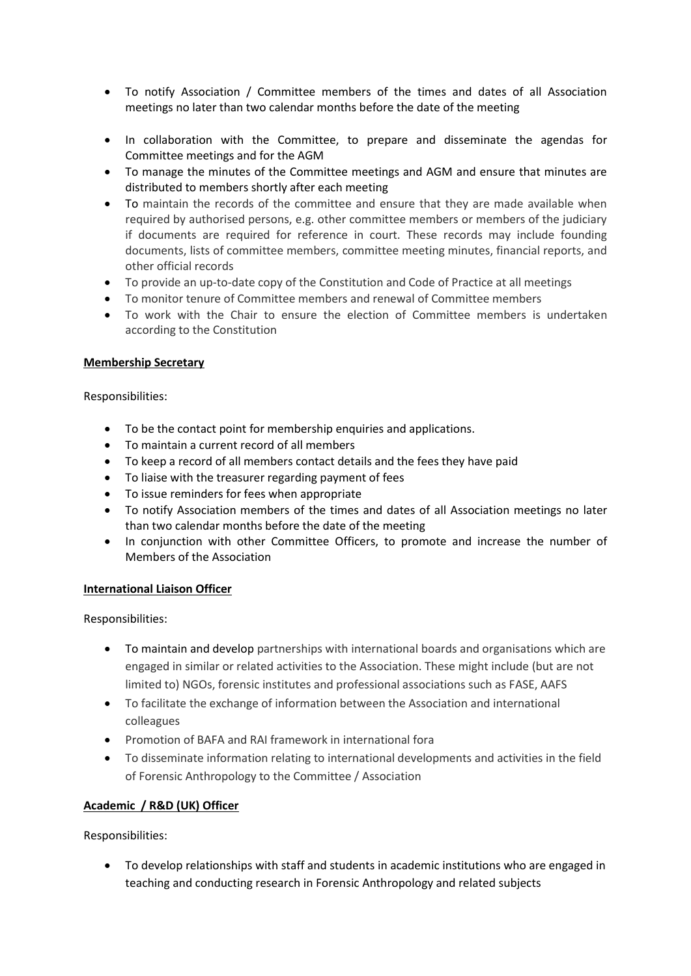- To notify Association / Committee members of the times and dates of all Association meetings no later than two calendar months before the date of the meeting
- In collaboration with the Committee, to prepare and disseminate the agendas for Committee meetings and for the AGM
- To manage the minutes of the Committee meetings and AGM and ensure that minutes are distributed to members shortly after each meeting
- To maintain the records of the committee and ensure that they are made available when required by authorised persons, e.g. other committee members or members of the judiciary if documents are required for reference in court. These records may include founding documents, lists of committee members, committee meeting minutes, financial reports, and other official records
- To provide an up-to-date copy of the Constitution and Code of Practice at all meetings
- To monitor tenure of Committee members and renewal of Committee members
- To work with the Chair to ensure the election of Committee members is undertaken according to the Constitution

## **Membership Secretary**

Responsibilities:

- To be the contact point for membership enquiries and applications.
- To maintain a current record of all members
- To keep a record of all members contact details and the fees they have paid
- To liaise with the treasurer regarding payment of fees
- To issue reminders for fees when appropriate
- To notify Association members of the times and dates of all Association meetings no later than two calendar months before the date of the meeting
- In conjunction with other Committee Officers, to promote and increase the number of Members of the Association

#### **International Liaison Officer**

Responsibilities:

- To maintain and develop partnerships with international boards and organisations which are engaged in similar or related activities to the Association. These might include (but are not limited to) NGOs, forensic institutes and professional associations such as FASE, AAFS
- To facilitate the exchange of information between the Association and international colleagues
- Promotion of BAFA and RAI framework in international fora
- To disseminate information relating to international developments and activities in the field of Forensic Anthropology to the Committee / Association

## **Academic / R&D (UK) Officer**

Responsibilities:

 To develop relationships with staff and students in academic institutions who are engaged in teaching and conducting research in Forensic Anthropology and related subjects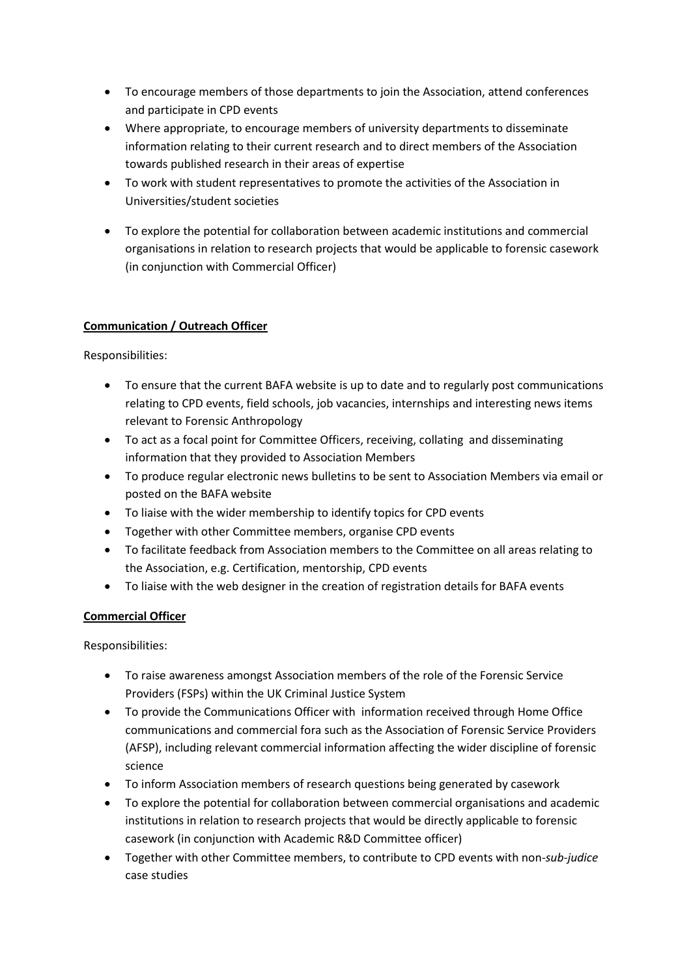- To encourage members of those departments to join the Association, attend conferences and participate in CPD events
- Where appropriate, to encourage members of university departments to disseminate information relating to their current research and to direct members of the Association towards published research in their areas of expertise
- To work with student representatives to promote the activities of the Association in Universities/student societies
- To explore the potential for collaboration between academic institutions and commercial organisations in relation to research projects that would be applicable to forensic casework (in conjunction with Commercial Officer)

## **Communication / Outreach Officer**

Responsibilities:

- To ensure that the current BAFA website is up to date and to regularly post communications relating to CPD events, field schools, job vacancies, internships and interesting news items relevant to Forensic Anthropology
- To act as a focal point for Committee Officers, receiving, collating and disseminating information that they provided to Association Members
- To produce regular electronic news bulletins to be sent to Association Members via email or posted on the BAFA website
- To liaise with the wider membership to identify topics for CPD events
- Together with other Committee members, organise CPD events
- To facilitate feedback from Association members to the Committee on all areas relating to the Association, e.g. Certification, mentorship, CPD events
- To liaise with the web designer in the creation of registration details for BAFA events

## **Commercial Officer**

Responsibilities:

- To raise awareness amongst Association members of the role of the Forensic Service Providers (FSPs) within the UK Criminal Justice System
- To provide the Communications Officer with information received through Home Office communications and commercial fora such as the Association of Forensic Service Providers (AFSP), including relevant commercial information affecting the wider discipline of forensic science
- To inform Association members of research questions being generated by casework
- To explore the potential for collaboration between commercial organisations and academic institutions in relation to research projects that would be directly applicable to forensic casework (in conjunction with Academic R&D Committee officer)
- Together with other Committee members, to contribute to CPD events with non-*sub-judice* case studies